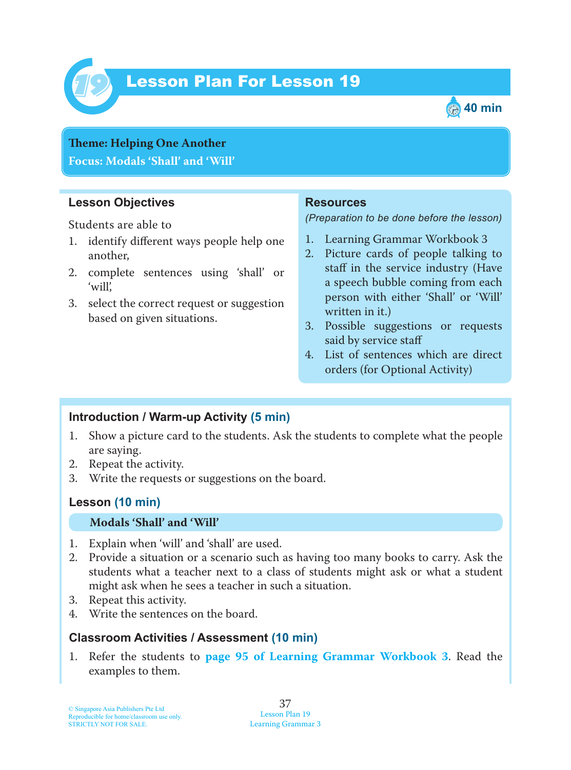

# Lesson Plan For Lesson 19 *19*



## **Theme: Helping One Another Focus: Modals 'Shall' and 'Will'**

#### **Lesson Objectives**

Students are able to

- 1. identify different ways people help one another,
- 2. complete sentences using 'shall' or 'will',
- 3. select the correct request or suggestion based on given situations.

#### **Resources**

*(Preparation to be done before the lesson)*

- 1. Learning Grammar Workbook 3
- 2. Picture cards of people talking to staff in the service industry (Have a speech bubble coming from each person with either 'Shall' or 'Will' written in it.)
- 3. Possible suggestions or requests said by service staff
- 4. List of sentences which are direct orders (for Optional Activity)

## **Introduction / Warm-up Activity (5 min)**

- 1. Show a picture card to the students. Ask the students to complete what the people are saying.
- 2. Repeat the activity.
- 3. Write the requests or suggestions on the board.

#### **Lesson (10 min)**

#### **Modals 'Shall' and 'Will'**

- 1. Explain when 'will' and 'shall' are used.
- 2. Provide a situation or a scenario such as having too many books to carry. Ask the students what a teacher next to a class of students might ask or what a student might ask when he sees a teacher in such a situation.
- 3. Repeat this activity.
- 4. Write the sentences on the board.

#### **Classroom Activities / Assessment (10 min)**

1. Refer the students to **page 95 of Learning Grammar Workbook 3** . Read the examples to them.